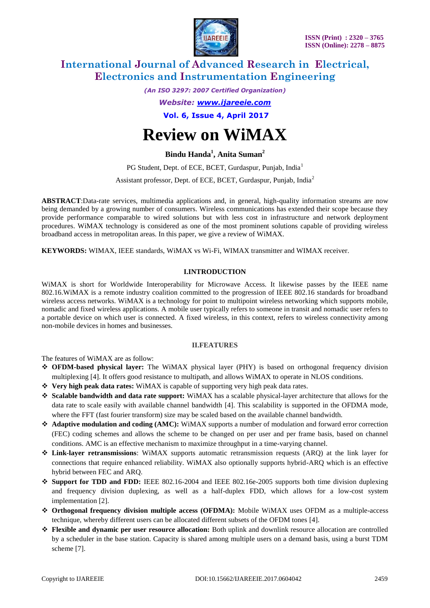

*(An ISO 3297: 2007 Certified Organization)*

*Website: [www.ijareeie.com](http://www.ijareeie.com/)*

**Vol. 6, Issue 4, April 2017**

# **Review on WiMAX**

### **Bindu Handa<sup>1</sup> , Anita Suman<sup>2</sup>**

PG Student, Dept. of ECE, BCET, Gurdaspur, Punjab, India<sup>1</sup> Assistant professor, Dept. of ECE, BCET, Gurdaspur, Punjab, India<sup>2</sup>

**ABSTRACT**:Data-rate services, multimedia applications and, in general, high-quality information streams are now being demanded by a growing number of consumers. Wireless communications has extended their scope because they provide performance comparable to wired solutions but with less cost in infrastructure and network deployment procedures. WiMAX technology is considered as one of the most prominent solutions capable of providing wireless broadband access in metropolitan areas. In this paper, we give a review of WiMAX.

**KEYWORDS:** WIMAX, IEEE standards, WiMAX vs Wi-Fi, WIMAX transmitter and WIMAX receiver.

### **I.INTRODUCTION**

WiMAX is short for Worldwide Interoperability for Microwave Access. It likewise passes by the IEEE name 802.16.WiMAX is a remote industry coalition committed to the progression of IEEE 802.16 standards for broadband wireless access networks. WiMAX is a technology for point to multipoint wireless networking which supports mobile, nomadic and fixed wireless applications. A mobile user typically refers to someone in transit and nomadic user refers to a portable device on which user is connected. A fixed wireless, in this context, refers to wireless connectivity among non-mobile devices in homes and businesses.

### **II.FEATURES**

The features of WiMAX are as follow:

- **OFDM-based physical layer:** The WiMAX physical layer (PHY) is based on orthogonal frequency division multiplexing [4]. It offers good resistance to multipath, and allows WiMAX to operate in NLOS conditions.
- **Very high peak data rates:** WiMAX is capable of supporting very high peak data rates.
- **Scalable bandwidth and data rate support:** WiMAX has a scalable physical-layer architecture that allows for the data rate to scale easily with available channel bandwidth [4]. This scalability is supported in the OFDMA mode, where the FFT (fast fourier transform) size may be scaled based on the available channel bandwidth.
- **Adaptive modulation and coding (AMC):** WiMAX supports a number of modulation and forward error correction (FEC) coding schemes and allows the scheme to be changed on per user and per frame basis, based on channel conditions. AMC is an effective mechanism to maximize throughput in a time-varying channel.
- **Link-layer retransmissions**: WiMAX supports automatic retransmission requests (ARQ) at the link layer for connections that require enhanced reliability. WiMAX also optionally supports hybrid-ARQ which is an effective hybrid between FEC and ARQ.
- **Support for TDD and FDD:** IEEE 802.16-2004 and IEEE 802.16e-2005 supports both time division duplexing and frequency division duplexing, as well as a half-duplex FDD, which allows for a low-cost system implementation [2].
- **Orthogonal frequency division multiple access (OFDMA):** Mobile WiMAX uses OFDM as a multiple-access technique, whereby different users can be allocated different subsets of the OFDM tones [4].
- **Flexible and dynamic per user resource allocation:** Both uplink and downlink resource allocation are controlled by a scheduler in the base station. Capacity is shared among multiple users on a demand basis, using a burst TDM scheme [7].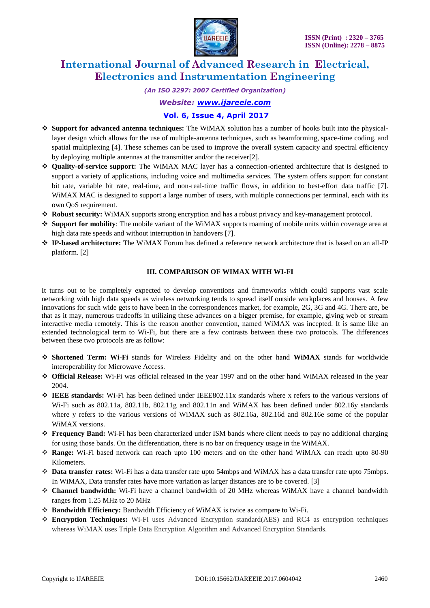

*(An ISO 3297: 2007 Certified Organization)*

*Website: [www.ijareeie.com](http://www.ijareeie.com/)*

### **Vol. 6, Issue 4, April 2017**

- **Support for advanced antenna techniques:** The WiMAX solution has a number of hooks built into the physicallayer design which allows for the use of multiple-antenna techniques, such as beamforming, space-time coding, and spatial multiplexing [4]. These schemes can be used to improve the overall system capacity and spectral efficiency by deploying multiple antennas at the transmitter and/or the receiver[2].
- **Quality-of-service support:** The WiMAX MAC layer has a connection-oriented architecture that is designed to support a variety of applications, including voice and multimedia services. The system offers support for constant bit rate, variable bit rate, real-time, and non-real-time traffic flows, in addition to best-effort data traffic [7]. WiMAX MAC is designed to support a large number of users, with multiple connections per terminal, each with its own QoS requirement.
- **Robust security:** WiMAX supports strong encryption and has a robust privacy and key-management protocol.
- **Support for mobility**: The mobile variant of the WiMAX supports roaming of mobile units within coverage area at high data rate speeds and without interruption in handovers [7].
- **IP-based architecture:** The WiMAX Forum has defined a reference network architecture that is based on an all-IP platform. [2]

### **III. COMPARISON OF WIMAX WITH WI-FI**

It turns out to be completely expected to develop conventions and frameworks which could supports vast scale networking with high data speeds as wireless networking tends to spread itself outside workplaces and houses. A few innovations for such wide gets to have been in the correspondences market, for example, 2G, 3G and 4G. There are, be that as it may, numerous tradeoffs in utilizing these advances on a bigger premise, for example, giving web or stream interactive media remotely. This is the reason another convention, named WiMAX was incepted. It is same like an extended technological term to Wi-Fi, but there are a few contrasts between these two protocols. The differences between these two protocols are as follow:

- **Shortened Term: Wi-Fi** stands for Wireless Fidelity and on the other hand **WiMAX** stands for worldwide interoperability for Microwave Access.
- **Official Release:** Wi-Fi was official released in the year 1997 and on the other hand WiMAX released in the year 2004.
- **IEEE standards:** Wi-Fi has been defined under IEEE802.11x standards where x refers to the various versions of Wi-Fi such as 802.11a, 802.11b, 802.11g and 802.11n and WiMAX has been defined under 802.16y standards where y refers to the various versions of WiMAX such as 802.16a, 802.16d and 802.16e some of the popular WiMAX versions.
- **Frequency Band:** Wi-Fi has been characterized under ISM bands where client needs to pay no additional charging for using those bands. On the differentiation, there is no bar on frequency usage in the WiMAX.
- **Range:** Wi-Fi based network can reach upto 100 meters and on the other hand WiMAX can reach upto 80-90 Kilometers.
- **Data transfer rates:** Wi-Fi has a data transfer rate upto 54mbps and WiMAX has a data transfer rate upto 75mbps. In WiMAX, Data transfer rates have more variation as larger distances are to be covered. [3]
- **Channel bandwidth:** Wi-Fi have a channel bandwidth of 20 MHz whereas WiMAX have a channel bandwidth ranges from 1.25 MHz to 20 MHz
- **Bandwidth Efficiency:** Bandwidth Efficiency of WiMAX is twice as compare to Wi-Fi.
- **Encryption Techniques:** Wi-Fi uses Advanced Encryption standard(AES) and RC4 as encryption techniques whereas WiMAX uses Triple Data Encryption Algorithm and Advanced Encryption Standards.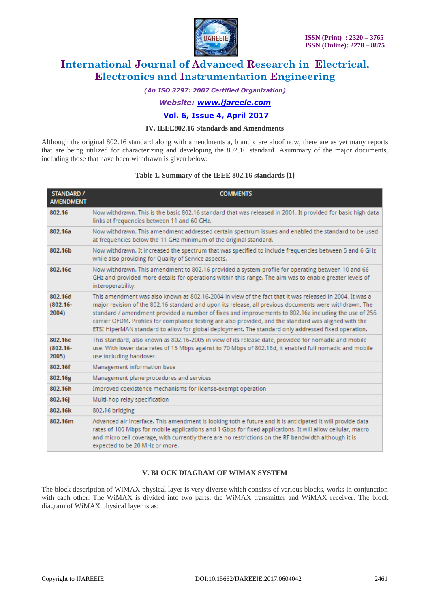

*(An ISO 3297: 2007 Certified Organization)*

*Website: [www.ijareeie.com](http://www.ijareeie.com/)*

### **Vol. 6, Issue 4, April 2017**

### **IV. IEEE802.16 Standards and Amendments**

Although the original 802.16 standard along with amendments a, b and c are aloof now, there are as yet many reports that are being utilized for characterizing and developing the 802.16 standard. Asummary of the major documents, including those that have been withdrawn is given below:

### **Table 1. Summary of the IEEE 802.16 standards [1]**

| <b>STANDARD /</b><br><b>AMENDMENT</b> | <b>COMMENTS</b>                                                                                                                                                                                                                                                                                                                                                                                                                                                                                                                            |
|---------------------------------------|--------------------------------------------------------------------------------------------------------------------------------------------------------------------------------------------------------------------------------------------------------------------------------------------------------------------------------------------------------------------------------------------------------------------------------------------------------------------------------------------------------------------------------------------|
| 802.16                                | Now withdrawn. This is the basic 802.16 standard that was released in 2001. It provided for basic high data<br>links at frequencies between 11 and 60 GHz.                                                                                                                                                                                                                                                                                                                                                                                 |
| 802.16a                               | Now withdrawn. This amendment addressed certain spectrum issues and enabled the standard to be used<br>at frequencies below the 11 GHz minimum of the original standard.                                                                                                                                                                                                                                                                                                                                                                   |
| 802.16b                               | Now withdrawn. It increased the spectrum that was specified to include frequencies between 5 and 6 GHz<br>while also providing for Quality of Service aspects.                                                                                                                                                                                                                                                                                                                                                                             |
| 802.16c                               | Now withdrawn. This amendment to 802.16 provided a system profile for operating between 10 and 66<br>GHz and provided more details for operations within this range. The aim was to enable greater levels of<br>interoperability.                                                                                                                                                                                                                                                                                                          |
| 802.16d<br>$(802.16 -$<br>2004)       | This amendment was also known as 802.16-2004 in view of the fact that it was released in 2004. It was a<br>major revision of the 802.16 standard and upon its release, all previous documents were withdrawn. The<br>standard / amendment provided a number of fixes and improvements to 802.16a including the use of 256<br>carrier OFDM. Profiles for compliance testing are also provided, and the standard was aligned with the<br>ETSI HiperMAN standard to allow for global deployment. The standard only addressed fixed operation. |
| 802.16e<br>$(802.16 -$<br>2005)       | This standard, also known as 802.16-2005 in view of its release date, provided for nomadic and mobile<br>use. With lower data rates of 15 Mbps against to 70 Mbps of 802.16d, it enabled full nomadic and mobile<br>use including handover.                                                                                                                                                                                                                                                                                                |
| 802.16f                               | Management information base                                                                                                                                                                                                                                                                                                                                                                                                                                                                                                                |
| 802.16g                               | Management plane procedures and services                                                                                                                                                                                                                                                                                                                                                                                                                                                                                                   |
| 802.16h                               | Improved coexistence mechanisms for license-exempt operation                                                                                                                                                                                                                                                                                                                                                                                                                                                                               |
| 802.16j                               | Multi-hop relay specification                                                                                                                                                                                                                                                                                                                                                                                                                                                                                                              |
| 802.16k                               | 802.16 bridging                                                                                                                                                                                                                                                                                                                                                                                                                                                                                                                            |
| 802.16m                               | Advanced air interface. This amendment is looking toth e future and it is anticipated it will provide data<br>rates of 100 Mbps for mobile applications and 1 Gbps for fixed applications. It will allow cellular, macro<br>and micro cell coverage, with currently there are no restrictions on the RF bandwidth although it is<br>expected to be 20 MHz or more.                                                                                                                                                                         |

### **V. BLOCK DIAGRAM OF WIMAX SYSTEM**

The block description of WiMAX physical layer is very diverse which consists of various blocks, works in conjunction with each other. The WiMAX is divided into two parts: the WiMAX transmitter and WiMAX receiver. The block diagram of WiMAX physical layer is as: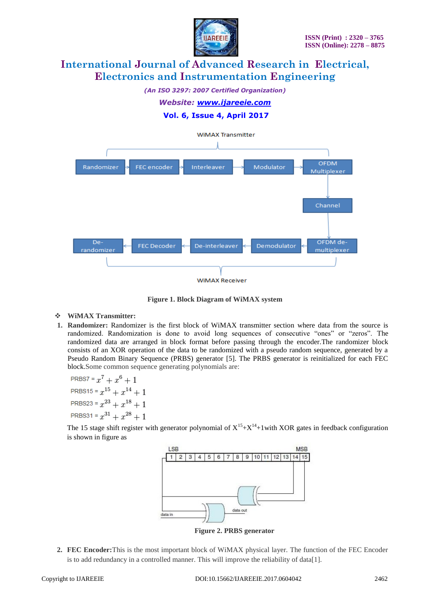

*(An ISO 3297: 2007 Certified Organization) Website: [www.ijareeie.com](http://www.ijareeie.com/)*

**Vol. 6, Issue 4, April 2017**



**Figure 1. Block Diagram of WiMAX system**

### **WiMAX Transmitter:**

**1. Randomizer:** Randomizer is the first block of WiMAX transmitter section where data from the source is randomized. Randomization is done to avoid long sequences of consecutive "ones" or "zeros". The randomized data are arranged in block format before passing through the encoder.The randomizer block consists of an XOR operation of the data to be randomized with a pseudo random sequence, generated by a Pseudo Random Binary Sequence (PRBS) generator [5]. The PRBS generator is reinitialized for each FEC block.Some common sequence generating polynomials are:

PRBS7 =  $x^7 + x^6 + 1$ PRBS15 =  $x^{15} + x^{14} + 1$ PRBS23 =  $x^{23} + x^{18} + 1$ PRBS31 =  $x^{31} + x^{28} + 1$ 

The 15 stage shift register with generator polynomial of  $X^{15}+X^{14}+1$  with XOR gates in feedback configuration is shown in figure as



**Figure 2. PRBS generator**

**2. FEC Encoder:**This is the most important block of WiMAX physical layer. The function of the FEC Encoder is to add redundancy in a controlled manner. This will improve the reliability of data[1].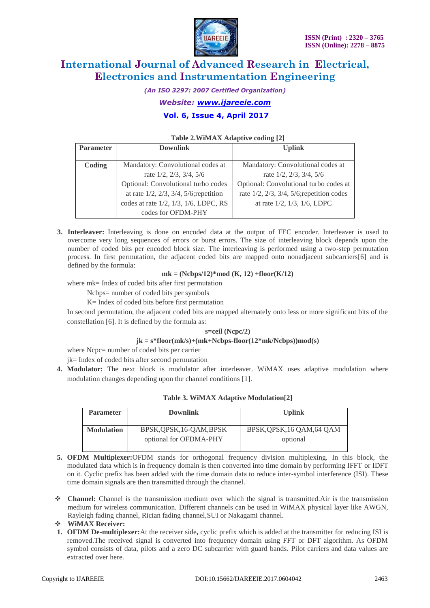

*(An ISO 3297: 2007 Certified Organization) Website: [www.ijareeie.com](http://www.ijareeie.com/)*

### **Vol. 6, Issue 4, April 2017**

### **Table 2.WiMAX Adaptive coding [2]**

| <b>Parameter</b> | <b>Downlink</b>                                    | <b>Uplink</b>                                         |
|------------------|----------------------------------------------------|-------------------------------------------------------|
|                  |                                                    |                                                       |
| Coding           | Mandatory: Convolutional codes at                  | Mandatory: Convolutional codes at                     |
|                  | rate 1/2, 2/3, 3/4, 5/6                            | rate $1/2$ , $2/3$ , $3/4$ , $5/6$                    |
|                  | Optional: Convolutional turbo codes                | Optional: Convolutional turbo codes at                |
|                  | at rate $1/2$ , $2/3$ , $3/4$ , $5/6$ ; repetition | rate $1/2$ , $2/3$ , $3/4$ , $5/6$ ; repetition codes |
|                  | codes at rate 1/2, 1/3, 1/6, LDPC, RS              | at rate $1/2$ , $1/3$ , $1/6$ , LDPC                  |
|                  | codes for OFDM-PHY                                 |                                                       |

**3. Interleaver:** Interleaving is done on encoded data at the output of FEC encoder. Interleaver is used to overcome very long sequences of errors or burst errors. The size of interleaving block depends upon the number of coded bits per encoded block size. The interleaving is performed using a two-step permutation process. In first permutation, the adjacent coded bits are mapped onto nonadjacent subcarriers[6] and is defined by the formula:

### **mk = (Ncbps/12)\*mod (K, 12) +floor(K/12)**

where mk= Index of coded bits after first permutation

Ncbps= number of coded bits per symbols

K= Index of coded bits before first permutation

In second permutation, the adjacent coded bits are mapped alternately onto less or more significant bits of the constellation [6]. It is defined by the formula as:

#### **s=ceil (Ncpc/2)**

#### **jk = s\*floor(mk/s)+(mk+Ncbps-floor(12\*mk/Ncbps))mod(s)**

where Ncpc= number of coded bits per carrier

jk= Index of coded bits after second permutation

**4. Modulator:** The next block is modulator after interleaver. WiMAX uses adaptive modulation where modulation changes depending upon the channel conditions [1].

### **Table 3. WiMAX Adaptive Modulation[2]**

| <b>Parameter</b>  | <b>Downlink</b>                                    | <b>Uplink</b>                          |
|-------------------|----------------------------------------------------|----------------------------------------|
| <b>Modulation</b> | BPSK, OPSK, 16-OAM, BPSK<br>optional for OFDMA-PHY | BPSK, QPSK, 16 QAM, 64 QAM<br>optional |

- **5. OFDM Multiplexer:**OFDM stands for orthogonal frequency division multiplexing. In this block, the modulated data which is in frequency domain is then converted into time domain by performing IFFT or IDFT on it. Cyclic prefix has been added with the time domain data to reduce inter-symbol interference (ISI). These time domain signals are then transmitted through the channel.
- ◆ **Channel:** Channel is the transmission medium over which the signal is transmitted.Air is the transmission medium for wireless communication. Different channels can be used in WiMAX physical layer like AWGN, Rayleigh fading channel, Rician fading channel,SUI or Nakagami channel.
- **WiMAX Receiver:**
- **1. OFDM De-multiplexer:**At the receiver side**,** cyclic prefix which is added at the transmitter for reducing ISI is removed.The received signal is converted into frequency domain using FFT or DFT algorithm. As OFDM symbol consists of data, pilots and a zero DC subcarrier with guard bands. Pilot carriers and data values are extracted over here.